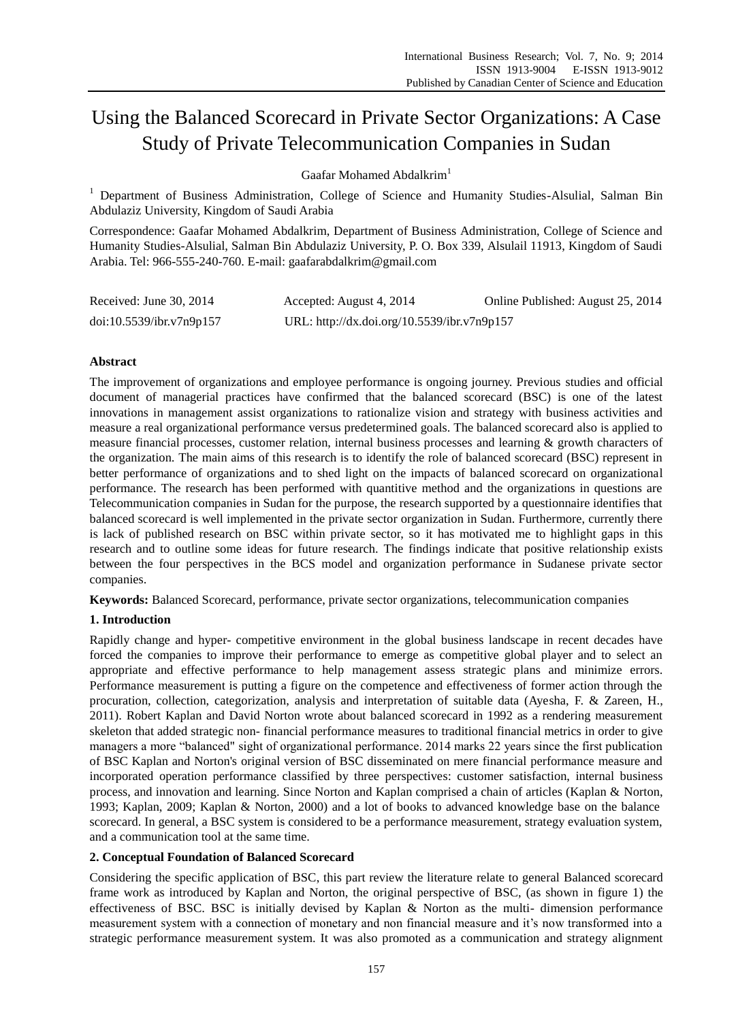# Using the Balanced Scorecard in Private Sector Organizations: A Case Study of Private Telecommunication Companies in Sudan

Gaafar Mohamed Abdalkrim<sup>1</sup>

<sup>1</sup> Department of Business Administration, College of Science and Humanity Studies-Alsulial, Salman Bin Abdulaziz University, Kingdom of Saudi Arabia

Correspondence: Gaafar Mohamed Abdalkrim, Department of Business Administration, College of Science and Humanity Studies-Alsulial, Salman Bin Abdulaziz University, P. O. Box 339, Alsulail 11913, Kingdom of Saudi Arabia. Tel: 966-555-240-760. E-mail: gaafarabdalkrim@gmail.com

| Received: June 30, 2014  | Accepted: August 4, 2014                    | Online Published: August 25, 2014 |
|--------------------------|---------------------------------------------|-----------------------------------|
| doi:10.5539/ibr.v7n9p157 | URL: http://dx.doi.org/10.5539/ibr.v7n9p157 |                                   |

# **Abstract**

The improvement of organizations and employee performance is ongoing journey. Previous studies and official document of managerial practices have confirmed that the balanced scorecard (BSC) is one of the latest innovations in management assist organizations to rationalize vision and strategy with business activities and measure a real organizational performance versus predetermined goals. The balanced scorecard also is applied to measure financial processes, customer relation, internal business processes and learning & growth characters of the organization. The main aims of this research is to identify the role of balanced scorecard (BSC) represent in better performance of organizations and to shed light on the impacts of balanced scorecard on organizational performance. The research has been performed with quantitive method and the organizations in questions are Telecommunication companies in Sudan for the purpose, the research supported by a questionnaire identifies that balanced scorecard is well implemented in the private sector organization in Sudan. Furthermore, currently there is lack of published research on BSC within private sector, so it has motivated me to highlight gaps in this research and to outline some ideas for future research. The findings indicate that positive relationship exists between the four perspectives in the BCS model and organization performance in Sudanese private sector companies.

**Keywords:** Balanced Scorecard, performance, private sector organizations, telecommunication companies

# **1. Introduction**

Rapidly change and hyper- competitive environment in the global business landscape in recent decades have forced the companies to improve their performance to emerge as competitive global player and to select an appropriate and effective performance to help management assess strategic plans and minimize errors. Performance measurement is putting a figure on the competence and effectiveness of former action through the procuration, collection, categorization, analysis and interpretation of suitable data (Ayesha, F. & Zareen, H., 2011). Robert Kaplan and David Norton wrote about balanced scorecard in 1992 as a rendering measurement skeleton that added strategic non- financial performance measures to traditional financial metrics in order to give managers a more "balanced" sight of organizational performance. 2014 marks 22 years since the first publication of BSC Kaplan and Norton's original version of BSC disseminated on mere financial performance measure and incorporated operation performance classified by three perspectives: customer satisfaction, internal business process, and innovation and learning. Since Norton and Kaplan comprised a chain of articles (Kaplan & Norton, 1993; Kaplan, 2009; Kaplan & Norton, 2000) and a lot of books to advanced knowledge base on the balance scorecard. In general, a BSC system is considered to be a performance measurement, strategy evaluation system, and a communication tool at the same time.

# **2. Conceptual Foundation of Balanced Scorecard**

Considering the specific application of BSC, this part review the literature relate to general Balanced scorecard frame work as introduced by Kaplan and Norton, the original perspective of BSC, (as shown in figure 1) the effectiveness of BSC. BSC is initially devised by Kaplan & Norton as the multi- dimension performance measurement system with a connection of monetary and non financial measure and it's now transformed into a strategic performance measurement system. It was also promoted as a communication and strategy alignment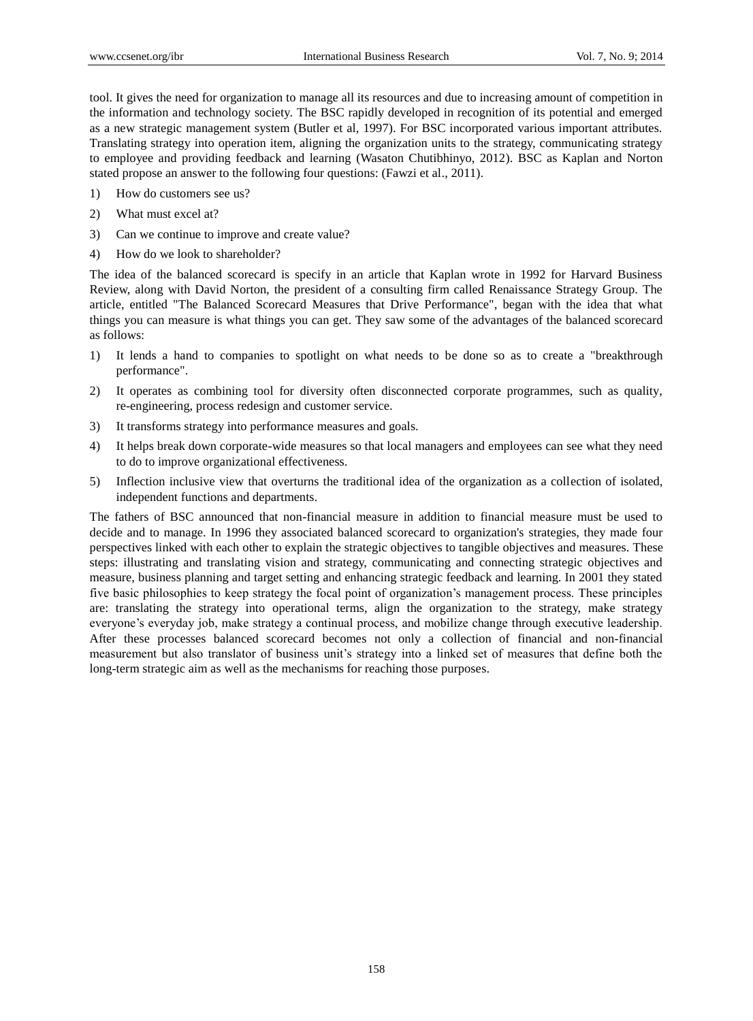tool. It gives the need for organization to manage all its resources and due to increasing amount of competition in the information and technology society. The BSC rapidly developed in recognition of its potential and emerged as a new strategic management system (Butler et al, 1997). For BSC incorporated various important attributes. Translating strategy into operation item, aligning the organization units to the strategy, communicating strategy to employee and providing feedback and learning (Wasaton Chutibhinyo, 2012). BSC as Kaplan and Norton stated propose an answer to the following four questions: (Fawzi et al., 2011).

- 1) How do customers see us?
- 2) What must excel at?
- 3) Can we continue to improve and create value?
- 4) How do we look to shareholder?

The idea of the balanced scorecard is specify in an article that Kaplan wrote in 1992 for Harvard Business Review, along with David Norton, the president of a consulting firm called Renaissance Strategy Group. The article, entitled "The Balanced Scorecard Measures that Drive Performance", began with the idea that what things you can measure is what things you can get. They saw some of the advantages of the balanced scorecard as follows:

- 1) It lends a hand to companies to spotlight on what needs to be done so as to create a "breakthrough performance".
- 2) It operates as combining tool for diversity often disconnected corporate programmes, such as quality, re-engineering, process redesign and customer service.
- 3) It transforms strategy into performance measures and goals.
- 4) It helps break down corporate-wide measures so that local managers and employees can see what they need to do to improve organizational effectiveness.
- 5) Inflection inclusive view that overturns the traditional idea of the organization as a collection of isolated, independent functions and departments.

The fathers of BSC announced that non-financial measure in addition to financial measure must be used to decide and to manage. In 1996 they associated balanced scorecard to organization's strategies, they made four perspectives linked with each other to explain the strategic objectives to tangible objectives and measures. These steps: illustrating and translating vision and strategy, communicating and connecting strategic objectives and measure, business planning and target setting and enhancing strategic feedback and learning. In 2001 they stated five basic philosophies to keep strategy the focal point of organization's management process. These principles are: translating the strategy into operational terms, align the organization to the strategy, make strategy everyone's everyday job, make strategy a continual process, and mobilize change through executive leadership. After these processes balanced scorecard becomes not only a collection of financial and non-financial measurement but also translator of business unit's strategy into a linked set of measures that define both the long-term strategic aim as well as the mechanisms for reaching those purposes.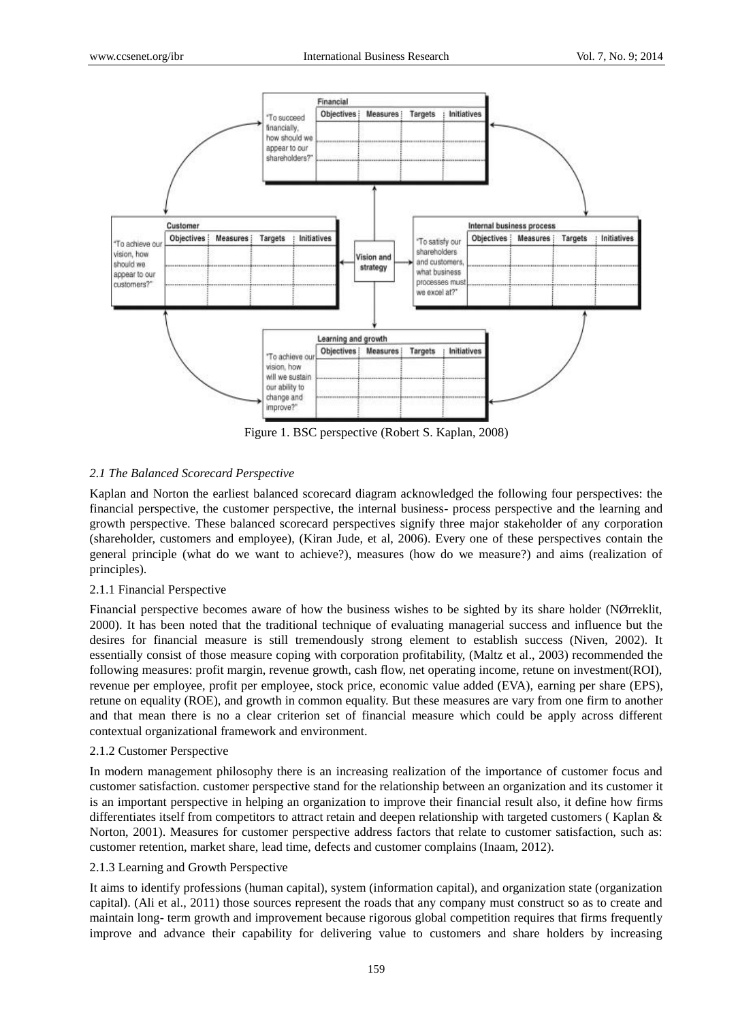

Figure 1. BSC perspective (Robert S. Kaplan, 2008)

# *2.1 The Balanced Scorecard Perspective*

Kaplan and Norton the earliest balanced scorecard diagram acknowledged the following four perspectives: the financial perspective, the customer perspective, the internal business- process perspective and the learning and growth perspective. These balanced scorecard perspectives signify three major stakeholder of any corporation (shareholder, customers and employee), (Kiran Jude, et al, 2006). Every one of these perspectives contain the general principle (what do we want to achieve?), measures (how do we measure?) and aims (realization of principles).

# 2.1.1 Financial Perspective

Financial perspective becomes aware of how the business wishes to be sighted by its share holder (NØrreklit, 2000). It has been noted that the traditional technique of evaluating managerial success and influence but the desires for financial measure is still tremendously strong element to establish success (Niven, 2002). It essentially consist of those measure coping with corporation profitability, (Maltz et al., 2003) recommended the following measures: profit margin, revenue growth, cash flow, net operating income, retune on investment(ROI), revenue per employee, profit per employee, stock price, economic value added (EVA), earning per share (EPS), retune on equality (ROE), and growth in common equality. But these measures are vary from one firm to another and that mean there is no a clear criterion set of financial measure which could be apply across different contextual organizational framework and environment.

# 2.1.2 Customer Perspective

In modern management philosophy there is an increasing realization of the importance of customer focus and customer satisfaction. customer perspective stand for the relationship between an organization and its customer it is an important perspective in helping an organization to improve their financial result also, it define how firms differentiates itself from competitors to attract retain and deepen relationship with targeted customers ( Kaplan & Norton, 2001). Measures for customer perspective address factors that relate to customer satisfaction, such as: customer retention, market share, lead time, defects and customer complains (Inaam, 2012).

# 2.1.3 Learning and Growth Perspective

It aims to identify professions (human capital), system (information capital), and organization state (organization capital). (Ali et al., 2011) those sources represent the roads that any company must construct so as to create and maintain long- term growth and improvement because rigorous global competition requires that firms frequently improve and advance their capability for delivering value to customers and share holders by increasing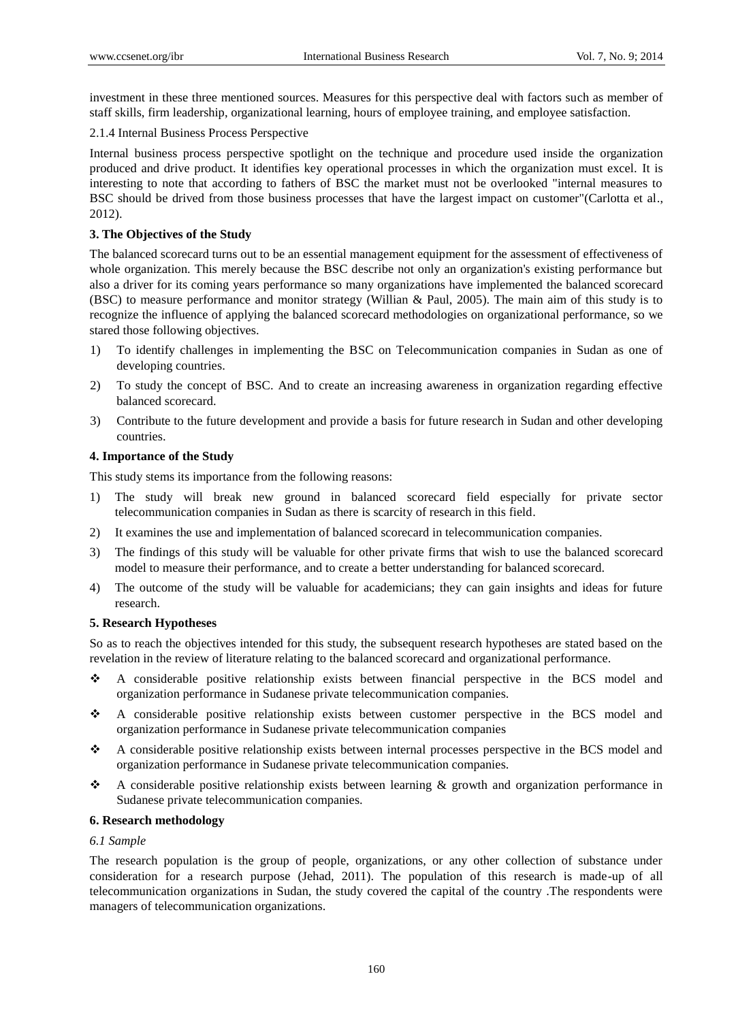investment in these three mentioned sources. Measures for this perspective deal with factors such as member of staff skills, firm leadership, organizational learning, hours of employee training, and employee satisfaction.

2.1.4 Internal Business Process Perspective

Internal business process perspective spotlight on the technique and procedure used inside the organization produced and drive product. It identifies key operational processes in which the organization must excel. It is interesting to note that according to fathers of BSC the market must not be overlooked "internal measures to BSC should be drived from those business processes that have the largest impact on customer"(Carlotta et al., 2012).

# **3. The Objectives of the Study**

The balanced scorecard turns out to be an essential management equipment for the assessment of effectiveness of whole organization. This merely because the BSC describe not only an organization's existing performance but also a driver for its coming years performance so many organizations have implemented the balanced scorecard (BSC) to measure performance and monitor strategy (Willian & Paul, 2005). The main aim of this study is to recognize the influence of applying the balanced scorecard methodologies on organizational performance, so we stared those following objectives.

- 1) To identify challenges in implementing the BSC on Telecommunication companies in Sudan as one of developing countries.
- 2) To study the concept of BSC. And to create an increasing awareness in organization regarding effective balanced scorecard.
- 3) Contribute to the future development and provide a basis for future research in Sudan and other developing countries.

# **4. Importance of the Study**

This study stems its importance from the following reasons:

- 1) The study will break new ground in balanced scorecard field especially for private sector telecommunication companies in Sudan as there is scarcity of research in this field.
- 2) It examines the use and implementation of balanced scorecard in telecommunication companies.
- 3) The findings of this study will be valuable for other private firms that wish to use the balanced scorecard model to measure their performance, and to create a better understanding for balanced scorecard.
- 4) The outcome of the study will be valuable for academicians; they can gain insights and ideas for future research.

# **5. Research Hypotheses**

So as to reach the objectives intended for this study, the subsequent research hypotheses are stated based on the revelation in the review of literature relating to the balanced scorecard and organizational performance.

- A considerable positive relationship exists between financial perspective in the BCS model and organization performance in Sudanese private telecommunication companies.
- A considerable positive relationship exists between customer perspective in the BCS model and organization performance in Sudanese private telecommunication companies
- A considerable positive relationship exists between internal processes perspective in the BCS model and organization performance in Sudanese private telecommunication companies.
- A considerable positive relationship exists between learning  $\&$  growth and organization performance in Sudanese private telecommunication companies.

# **6. Research methodology**

# *6.1 Sample*

The research population is the group of people, organizations, or any other collection of substance under consideration for a research purpose (Jehad, 2011). The population of this research is made-up of all telecommunication organizations in Sudan, the study covered the capital of the country .The respondents were managers of telecommunication organizations.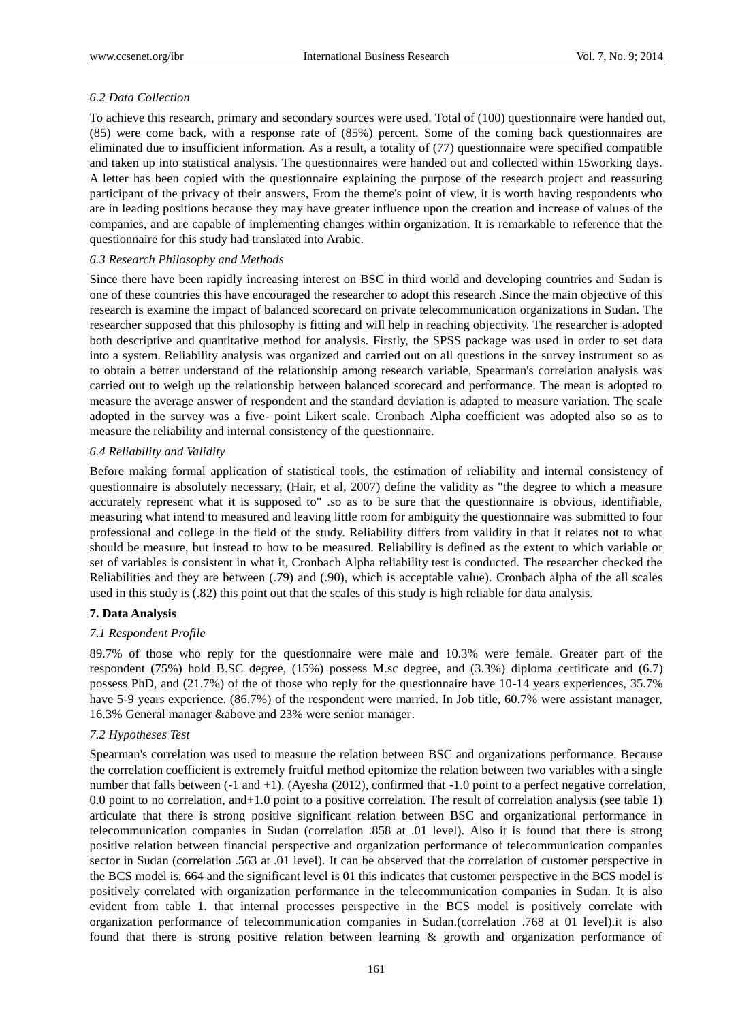# *6.2 Data Collection*

To achieve this research, primary and secondary sources were used. Total of (100) questionnaire were handed out, (85) were come back, with a response rate of (85%) percent. Some of the coming back questionnaires are eliminated due to insufficient information. As a result, a totality of (77) questionnaire were specified compatible and taken up into statistical analysis. The questionnaires were handed out and collected within 15working days. A letter has been copied with the questionnaire explaining the purpose of the research project and reassuring participant of the privacy of their answers, From the theme's point of view, it is worth having respondents who are in leading positions because they may have greater influence upon the creation and increase of values of the companies, and are capable of implementing changes within organization. It is remarkable to reference that the questionnaire for this study had translated into Arabic.

# *6.3 Research Philosophy and Methods*

Since there have been rapidly increasing interest on BSC in third world and developing countries and Sudan is one of these countries this have encouraged the researcher to adopt this research .Since the main objective of this research is examine the impact of balanced scorecard on private telecommunication organizations in Sudan. The researcher supposed that this philosophy is fitting and will help in reaching objectivity. The researcher is adopted both descriptive and quantitative method for analysis. Firstly, the SPSS package was used in order to set data into a system. Reliability analysis was organized and carried out on all questions in the survey instrument so as to obtain a better understand of the relationship among research variable, Spearman's correlation analysis was carried out to weigh up the relationship between balanced scorecard and performance. The mean is adopted to measure the average answer of respondent and the standard deviation is adapted to measure variation. The scale adopted in the survey was a five- point Likert scale. Cronbach Alpha coefficient was adopted also so as to measure the reliability and internal consistency of the questionnaire.

# *6.4 Reliability and Validity*

Before making formal application of statistical tools, the estimation of reliability and internal consistency of questionnaire is absolutely necessary, (Hair, et al, 2007) define the validity as "the degree to which a measure accurately represent what it is supposed to" .so as to be sure that the questionnaire is obvious, identifiable, measuring what intend to measured and leaving little room for ambiguity the questionnaire was submitted to four professional and college in the field of the study. Reliability differs from validity in that it relates not to what should be measure, but instead to how to be measured. Reliability is defined as the extent to which variable or set of variables is consistent in what it, Cronbach Alpha reliability test is conducted. The researcher checked the Reliabilities and they are between (.79) and (.90), which is acceptable value). Cronbach alpha of the all scales used in this study is (.82) this point out that the scales of this study is high reliable for data analysis.

# **7. Data Analysis**

# *7.1 Respondent Profile*

89.7% of those who reply for the questionnaire were male and 10.3% were female. Greater part of the respondent (75%) hold B.SC degree, (15%) possess M.sc degree, and (3.3%) diploma certificate and (6.7) possess PhD, and (21.7%) of the of those who reply for the questionnaire have 10-14 years experiences, 35.7% have 5-9 years experience. (86.7%) of the respondent were married. In Job title, 60.7% were assistant manager, 16.3% General manager &above and 23% were senior manager.

# *7.2 Hypotheses Test*

Spearman's correlation was used to measure the relation between BSC and organizations performance. Because the correlation coefficient is extremely fruitful method epitomize the relation between two variables with a single number that falls between (-1 and +1). (Ayesha (2012), confirmed that -1.0 point to a perfect negative correlation, 0.0 point to no correlation, and+1.0 point to a positive correlation. The result of correlation analysis (see table 1) articulate that there is strong positive significant relation between BSC and organizational performance in telecommunication companies in Sudan (correlation .858 at .01 level). Also it is found that there is strong positive relation between financial perspective and organization performance of telecommunication companies sector in Sudan (correlation .563 at .01 level). It can be observed that the correlation of customer perspective in the BCS model is. 664 and the significant level is 01 this indicates that customer perspective in the BCS model is positively correlated with organization performance in the telecommunication companies in Sudan. It is also evident from table 1. that internal processes perspective in the BCS model is positively correlate with organization performance of telecommunication companies in Sudan.(correlation .768 at 01 level).it is also found that there is strong positive relation between learning & growth and organization performance of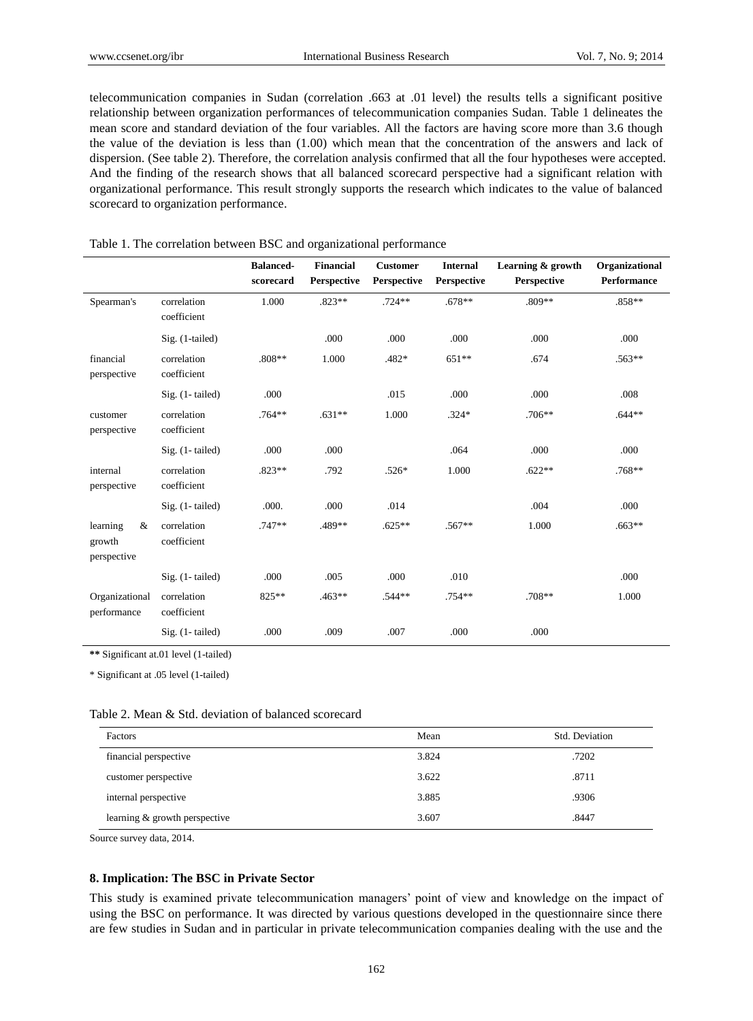telecommunication companies in Sudan (correlation .663 at .01 level) the results tells a significant positive relationship between organization performances of telecommunication companies Sudan. Table 1 delineates the mean score and standard deviation of the four variables. All the factors are having score more than 3.6 though the value of the deviation is less than (1.00) which mean that the concentration of the answers and lack of dispersion. (See table 2). Therefore, the correlation analysis confirmed that all the four hypotheses were accepted. And the finding of the research shows that all balanced scorecard perspective had a significant relation with organizational performance. This result strongly supports the research which indicates to the value of balanced scorecard to organization performance.

#### Table 1. The correlation between BSC and organizational performance

|                                           |                            | <b>Balanced-</b><br>scorecard | <b>Financial</b><br><b>Perspective</b> | <b>Customer</b><br><b>Perspective</b> | <b>Internal</b><br>Perspective | Learning & growth<br>Perspective | Organizational<br><b>Performance</b> |
|-------------------------------------------|----------------------------|-------------------------------|----------------------------------------|---------------------------------------|--------------------------------|----------------------------------|--------------------------------------|
| Spearman's                                | correlation<br>coefficient | 1.000                         | $.823**$                               | $.724**$                              | .678**                         | .809**                           | $.858**$                             |
|                                           | Sig. (1-tailed)            |                               | .000                                   | .000                                  | .000                           | .000                             | .000                                 |
| financial<br>perspective                  | correlation<br>coefficient | .808**                        | 1.000                                  | $.482*$                               | 651**                          | .674                             | $.563**$                             |
|                                           | $Sig.$ (1-tailed)          | .000                          |                                        | .015                                  | .000                           | .000                             | .008                                 |
| customer<br>perspective                   | correlation<br>coefficient | $.764**$                      | $.631**$                               | 1.000                                 | $.324*$                        | $.706**$                         | $.644**$                             |
|                                           | Sig. (1-tailed)            | .000                          | .000                                   |                                       | .064                           | .000                             | .000                                 |
| internal<br>perspective                   | correlation<br>coefficient | $.823**$                      | .792                                   | $.526*$                               | 1.000                          | $.622**$                         | $.768**$                             |
|                                           | Sig. (1-tailed)            | .000.                         | .000                                   | .014                                  |                                | .004                             | .000                                 |
| learning<br>$\&$<br>growth<br>perspective | correlation<br>coefficient | .747**                        | .489**                                 | $.625**$                              | $.567**$                       | 1.000                            | $.663**$                             |
|                                           | Sig. (1-tailed)            | .000                          | .005                                   | .000                                  | .010                           |                                  | .000                                 |
| Organizational<br>performance             | correlation<br>coefficient | 825**                         | $.463**$                               | $.544**$                              | $.754**$                       | $.708**$                         | 1.000                                |
|                                           | $Sig.$ (1-tailed)          | .000                          | .009                                   | .007                                  | .000                           | .000                             |                                      |

**\*\*** Significant at.01 level (1-tailed)

\* Significant at .05 level (1-tailed)

|  | Table 2. Mean & Std. deviation of balanced scorecard |  |
|--|------------------------------------------------------|--|
|--|------------------------------------------------------|--|

| Factors                       | Mean  | Std. Deviation |
|-------------------------------|-------|----------------|
| financial perspective         | 3.824 | .7202          |
| customer perspective          | 3.622 | .8711          |
| internal perspective          | 3.885 | .9306          |
| learning & growth perspective | 3.607 | .8447          |

Source survey data, 2014.

#### **8. Implication: The BSC in Private Sector**

This study is examined private telecommunication managers' point of view and knowledge on the impact of using the BSC on performance. It was directed by various questions developed in the questionnaire since there are few studies in Sudan and in particular in private telecommunication companies dealing with the use and the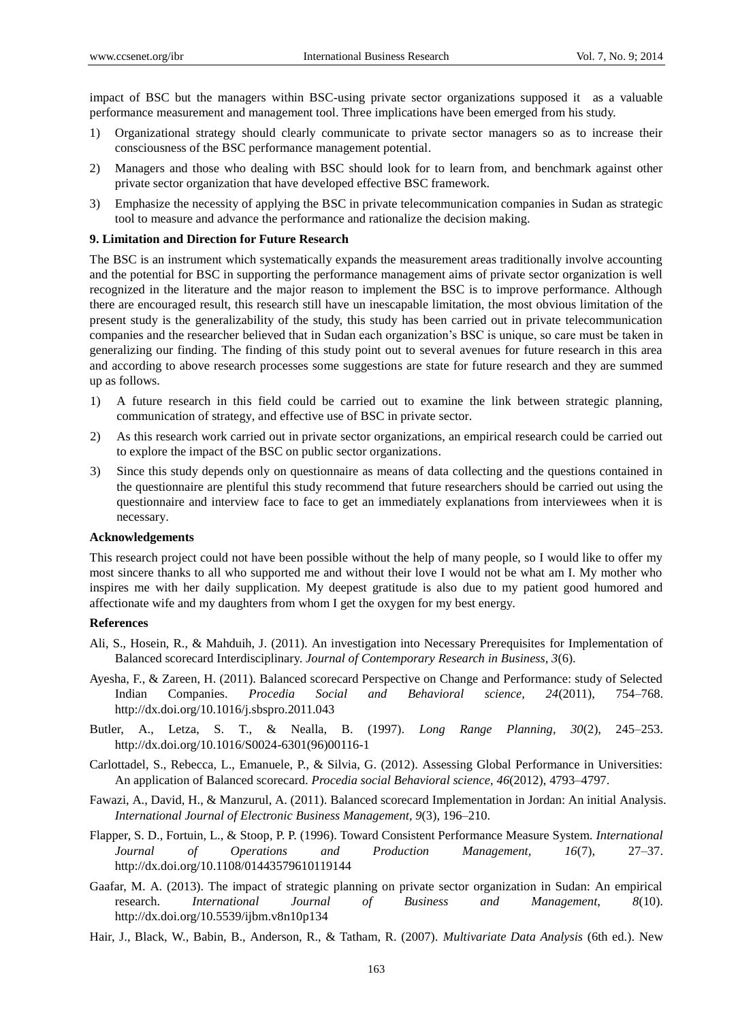impact of BSC but the managers within BSC-using private sector organizations supposed it as a valuable performance measurement and management tool. Three implications have been emerged from his study.

- 1) Organizational strategy should clearly communicate to private sector managers so as to increase their consciousness of the BSC performance management potential.
- 2) Managers and those who dealing with BSC should look for to learn from, and benchmark against other private sector organization that have developed effective BSC framework.
- 3) Emphasize the necessity of applying the BSC in private telecommunication companies in Sudan as strategic tool to measure and advance the performance and rationalize the decision making.

#### **9. Limitation and Direction for Future Research**

The BSC is an instrument which systematically expands the measurement areas traditionally involve accounting and the potential for BSC in supporting the performance management aims of private sector organization is well recognized in the literature and the major reason to implement the BSC is to improve performance. Although there are encouraged result, this research still have un inescapable limitation, the most obvious limitation of the present study is the generalizability of the study, this study has been carried out in private telecommunication companies and the researcher believed that in Sudan each organization's BSC is unique, so care must be taken in generalizing our finding. The finding of this study point out to several avenues for future research in this area and according to above research processes some suggestions are state for future research and they are summed up as follows.

- 1) A future research in this field could be carried out to examine the link between strategic planning, communication of strategy, and effective use of BSC in private sector.
- 2) As this research work carried out in private sector organizations, an empirical research could be carried out to explore the impact of the BSC on public sector organizations.
- 3) Since this study depends only on questionnaire as means of data collecting and the questions contained in the questionnaire are plentiful this study recommend that future researchers should be carried out using the questionnaire and interview face to face to get an immediately explanations from interviewees when it is necessary.

#### **Acknowledgements**

This research project could not have been possible without the help of many people, so I would like to offer my most sincere thanks to all who supported me and without their love I would not be what am I. My mother who inspires me with her daily supplication. My deepest gratitude is also due to my patient good humored and affectionate wife and my daughters from whom I get the oxygen for my best energy.

#### **References**

- Ali, S., Hosein, R., & Mahduih, J. (2011). An investigation into Necessary Prerequisites for Implementation of Balanced scorecard Interdisciplinary. *Journal of Contemporary Research in Business, 3*(6).
- Ayesha, F., & Zareen, H. (2011). Balanced scorecard Perspective on Change and Performance: study of Selected Indian Companies. *Procedia Social and Behavioral science, 24*(2011), 754–768. http://dx.doi.org/10.1016/j.sbspro.2011.043
- Butler, A., Letza, S. T., & Nealla, B. (1997). *Long Range Planning, 30*(2), 245–253. http://dx.doi.org/10.1016/S0024-6301(96)00116-1
- Carlottadel, S., Rebecca, L., Emanuele, P., & Silvia, G. (2012). Assessing Global Performance in Universities: An application of Balanced scorecard. *Procedia social Behavioral science, 46*(2012), 4793–4797.
- Fawazi, A., David, H., & Manzurul, A. (2011). Balanced scorecard Implementation in Jordan: An initial Analysis. *International Journal of Electronic Business Management, 9*(3), 196–210.
- Flapper, S. D., Fortuin, L., & Stoop, P. P. (1996). Toward Consistent Performance Measure System. *International Journal of Operations and Production Management, 16*(7), 27–37. http://dx.doi.org/10.1108/01443579610119144
- Gaafar, M. A. (2013). The impact of strategic planning on private sector organization in Sudan: An empirical research. *International Journal of Business and Management, 8*(10). http://dx.doi.org/10.5539/ijbm.v8n10p134
- Hair, J., Black, W., Babin, B., Anderson, R., & Tatham, R. (2007). *Multivariate Data Analysis* (6th ed.). New